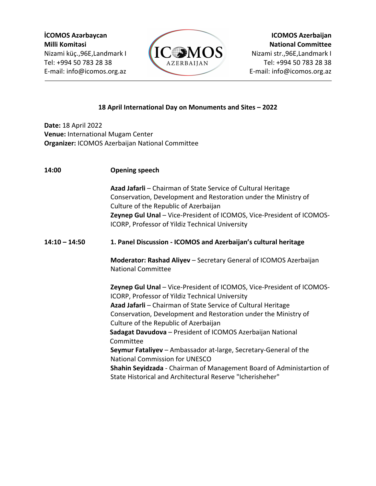

## **18 April International Day on Monuments and Sites – 2022**

**Date:** 18 April 2022 **Venue:** International Mugam Center **Organizer:** ICOMOS Azerbaijan National Committee

**14:00 Opening speech Azad Jafarli** – Chairman of State Service of Cultural Heritage Conservation, Development and Restoration under the Ministry of Culture of the Republic of Azerbaijan **Zeynep Gul Unal** – Vice-President of ICOMOS, Vice-President of ICOMOS-ICORP, Professor of Yildiz Technical University **14:10 – 14:50 1. Panel Discussion - ICOMOS and Azerbaijan's cultural heritage Moderator: Rashad Aliyev** – Secretary General of ICOMOS Azerbaijan National Committee **Zeynep Gul Unal** – Vice-President of ICOMOS, Vice-President of ICOMOS-ICORP, Professor of Yildiz Technical University **Azad Jafarli** – Chairman of State Service of Cultural Heritage Conservation, Development and Restoration under the Ministry of Culture of the Republic of Azerbaijan **Sadagat Davudova** – President of ICOMOS Azerbaijan National Committee **Seymur Fataliyev** – Ambassador at-large, Secretary-General of the National Commission for UNESCO **Shahin Seyidzada** - Chairman of Management Board of Administartion of State Historical and Architectural Reserve "Icherisheher"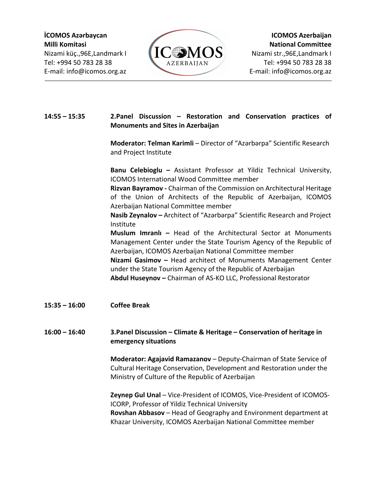

## **14:55 – 15:35 2.Panel Discussion – Restoration and Conservation practices of Monuments and Sites in Azerbaijan**

**Moderator: Telman Karimli** – Director of "Azərbərpa" Scientific Research and Project Institute

**Banu Celebioglu –** Assistant Professor at Yildiz Technical University, ICOMOS International Wood Committee member

**Rizvan Bayramov -** Chairman of the Commission on Architectural Heritage of the Union of Architects of the Republic of Azerbaijan, ICOMOS Azerbaijan National Committee member

**Nasib Zeynalov –** Architect of "Azərbərpa" Scientific Research and Project Institute

**Muslum Imranlı –** Head of the Architectural Sector at Monuments Management Center under the State Tourism Agency of the Republic of Azerbaijan, ICOMOS Azerbaijan National Committee member **Nizami Gasimov –** Head architect of Monuments Management Center

under the State Tourism Agency of the Republic of Azerbaijan **Abdul Huseynov –** Chairman of AS-KO LLC, Professional Restorator

**15:35 – 16:00 Coffee Break**

## **16:00 – 16:40 3.Panel Discussion – Climate & Heritage – Conservation of heritage in emergency situations**

**Moderator: Agajavid Ramazanov** – Deputy-Chairman of State Service of Cultural Heritage Conservation, Development and Restoration under the Ministry of Culture of the Republic of Azerbaijan

**Zeynep Gul Unal** – Vice-President of ICOMOS, Vice-President of ICOMOS-ICORP, Professor of Yildiz Technical University **Rovshan Abbasov** – Head of Geography and Environment department at Khazar University, ICOMOS Azerbaijan National Committee member